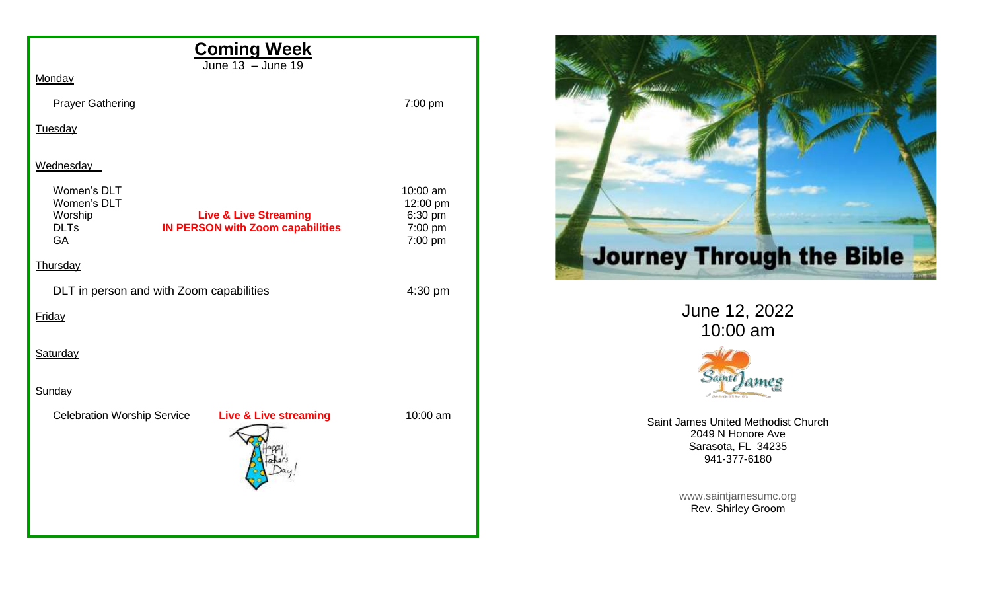| <b>Coming Week</b><br>June 13 - June 19                                                                                                   |                                                       |
|-------------------------------------------------------------------------------------------------------------------------------------------|-------------------------------------------------------|
| Monday                                                                                                                                    |                                                       |
| <b>Prayer Gathering</b>                                                                                                                   | 7:00 pm                                               |
| Tuesday                                                                                                                                   |                                                       |
|                                                                                                                                           |                                                       |
| Wednesday                                                                                                                                 |                                                       |
| Women's DLT<br>Women's DLT<br><b>Live &amp; Live Streaming</b><br>Worship<br><b>DLTs</b><br><b>IN PERSON with Zoom capabilities</b><br>GA | 10:00 am<br>12:00 pm<br>6:30 pm<br>7:00 pm<br>7:00 pm |
| Thursday                                                                                                                                  |                                                       |
| DLT in person and with Zoom capabilities                                                                                                  | 4:30 pm                                               |
| Friday                                                                                                                                    |                                                       |
| Saturday                                                                                                                                  |                                                       |
| Sunday                                                                                                                                    |                                                       |
| <b>Celebration Worship Service</b><br><b>Live &amp; Live streaming</b>                                                                    | 10:00 am                                              |
|                                                                                                                                           |                                                       |



June 12, 2022 10:00 am



Saint James United Methodist Church 2049 N Honore Ave Sarasota, FL 34235 941-377-6180

> [www.saintjamesumc.org](http://www.saintjamesumc.org/) Rev. Shirley Groom